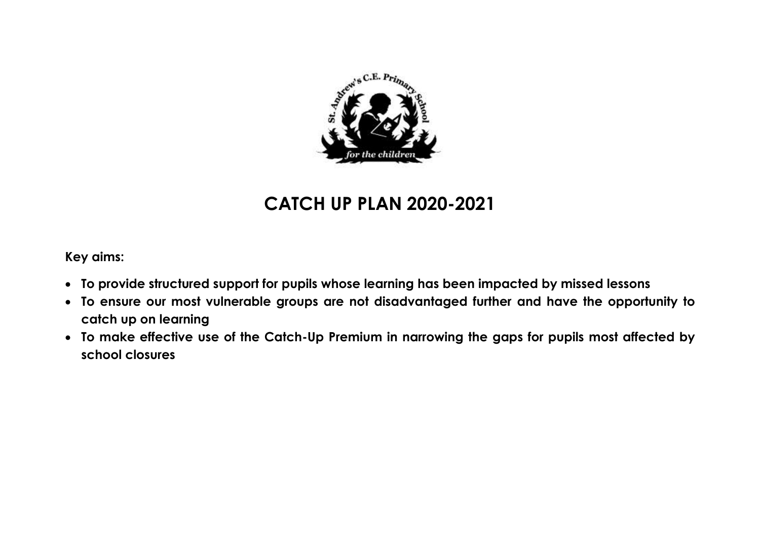

# **CATCH UP PLAN 2020-2021**

**Key aims:**

- **To provide structured support for pupils whose learning has been impacted by missed lessons**
- **To ensure our most vulnerable groups are not disadvantaged further and have the opportunity to catch up on learning**
- **To make effective use of the Catch-Up Premium in narrowing the gaps for pupils most affected by school closures**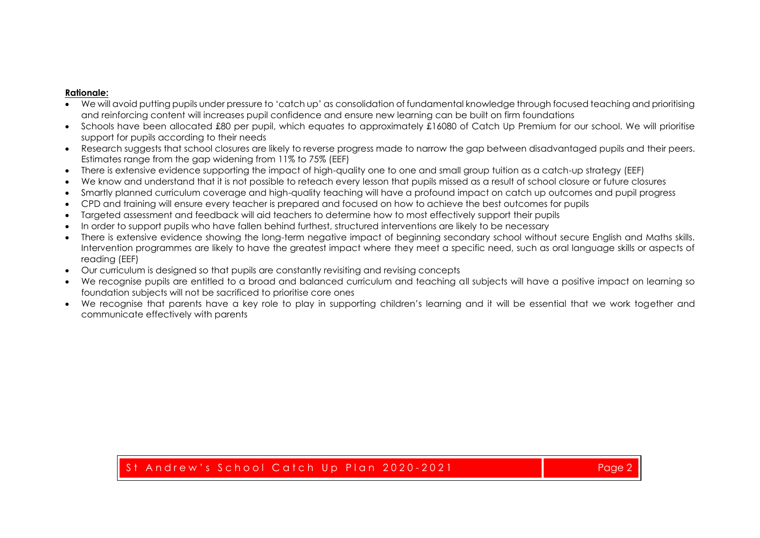## **Rationale:**

- We will avoid putting pupils under pressure to 'catch up' as consolidation of fundamental knowledge through focused teaching and prioritising and reinforcing content will increases pupil confidence and ensure new learning can be built on firm foundations
- Schools have been allocated £80 per pupil, which equates to approximately £16080 of Catch Up Premium for our school. We will prioritise support for pupils according to their needs
- Research suggests that school closures are likely to reverse progress made to narrow the gap between disadvantaged pupils and their peers. Estimates range from the gap widening from 11% to 75% (EEF)
- There is extensive evidence supporting the impact of high-quality one to one and small group tuition as a catch-up strategy (EEF)
- We know and understand that it is not possible to reteach every lesson that pupils missed as a result of school closure or future closures
- Smartly planned curriculum coverage and high-quality teaching will have a profound impact on catch up outcomes and pupil progress
- CPD and training will ensure every teacher is prepared and focused on how to achieve the best outcomes for pupils
- Targeted assessment and feedback will aid teachers to determine how to most effectively support their pupils
- In order to support pupils who have fallen behind furthest, structured interventions are likely to be necessary
- There is extensive evidence showing the long-term negative impact of beginning secondary school without secure English and Maths skills. Intervention programmes are likely to have the greatest impact where they meet a specific need, such as oral language skills or aspects of reading (EEF)
- Our curriculum is designed so that pupils are constantly revisiting and revising concepts
- We recognise pupils are entitled to a broad and balanced curriculum and teaching all subjects will have a positive impact on learning so foundation subjects will not be sacrificed to prioritise core ones
- We recognise that parents have a key role to play in supporting children's learning and it will be essential that we work together and communicate effectively with parents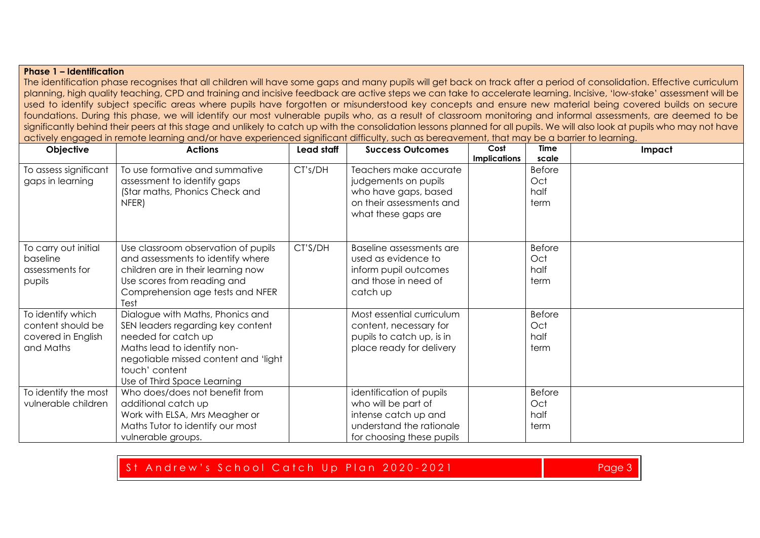## **Phase 1 – Identification**

The identification phase recognises that all children will have some gaps and many pupils will get back on track after a period of consolidation. Effective curriculum planning, high quality teaching, CPD and training and incisive feedback are active steps we can take to accelerate learning. Incisive, 'low-stake' assessment will be used to identify subject specific areas where pupils have forgotten or misunderstood key concepts and ensure new material being covered builds on secure foundations. During this phase, we will identify our most vulnerable pupils who, as a result of classroom monitoring and informal assessments, are deemed to be significantly behind their peers at this stage and unlikely to catch up with the consolidation lessons planned for all pupils. We will also look at pupils who may not have actively engaged in remote learning and/or have experienced significant difficulty, such as bereavement, that may be a barrier to learning.

| Objective                                                                 | <b>Actions</b>                                                                                                                                                                                                       | Lead staff | <b>Success Outcomes</b>                                                                                                          | Cost<br><b>Implications</b> | <b>Time</b><br>scale                 | Impact |
|---------------------------------------------------------------------------|----------------------------------------------------------------------------------------------------------------------------------------------------------------------------------------------------------------------|------------|----------------------------------------------------------------------------------------------------------------------------------|-----------------------------|--------------------------------------|--------|
| To assess significant<br>gaps in learning                                 | To use formative and summative<br>assessment to identify gaps<br>(Star maths, Phonics Check and<br>NFER)                                                                                                             | CT's/DH    | Teachers make accurate<br>judgements on pupils<br>who have gaps, based<br>on their assessments and<br>what these gaps are        |                             | <b>Before</b><br>Oct<br>half<br>term |        |
| To carry out initial<br>baseline<br>assessments for<br>pupils             | Use classroom observation of pupils<br>and assessments to identify where<br>children are in their learning now<br>Use scores from reading and<br>Comprehension age tests and NFER<br>Test                            | CT'S/DH    | Baseline assessments are<br>used as evidence to<br>inform pupil outcomes<br>and those in need of<br>catch up                     |                             | <b>Before</b><br>Oct<br>half<br>term |        |
| To identify which<br>content should be<br>covered in English<br>and Maths | Dialogue with Maths, Phonics and<br>SEN leaders regarding key content<br>needed for catch up<br>Maths lead to identify non-<br>negotiable missed content and 'light<br>touch' content<br>Use of Third Space Learning |            | Most essential curriculum<br>content, necessary for<br>pupils to catch up, is in<br>place ready for delivery                     |                             | <b>Before</b><br>Oct<br>half<br>term |        |
| To identify the most<br>vulnerable children                               | Who does/does not benefit from<br>additional catch up<br>Work with ELSA, Mrs Meagher or<br>Maths Tutor to identify our most<br>vulnerable groups.                                                                    |            | identification of pupils<br>who will be part of<br>intense catch up and<br>understand the rationale<br>for choosing these pupils |                             | <b>Before</b><br>Oct<br>half<br>term |        |

## St Andrew's School Catch Up Plan 2020-2021 and the company of the Page 3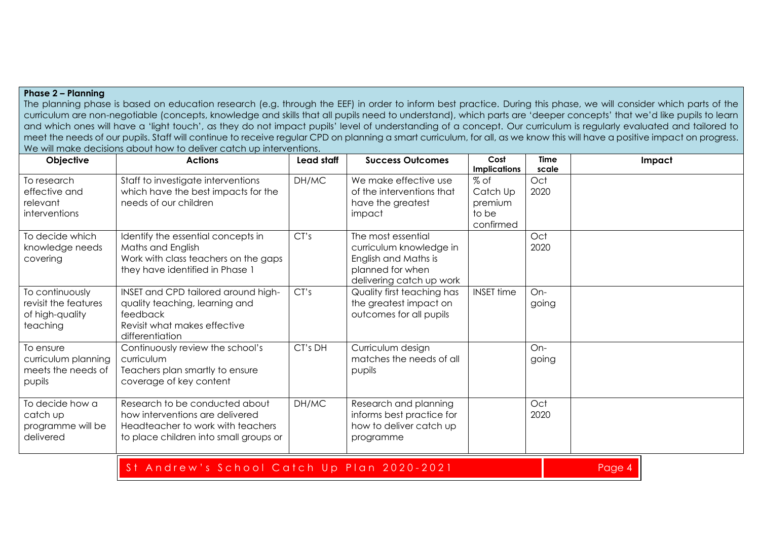## **Phase 2 – Planning**

The planning phase is based on education research (e.g. through the EEF) in order to inform best practice. During this phase, we will consider which parts of the curriculum are non-negotiable (concepts, knowledge and skills that all pupils need to understand), which parts are 'deeper concepts' that we'd like pupils to learn and which ones will have a 'light touch', as they do not impact pupils' level of understanding of a concept. Our curriculum is regularly evaluated and tailored to meet the needs of our pupils. Staff will continue to receive regular CPD on planning a smart curriculum, for all, as we know this will have a positive impact on progress. We will make decisions about how to deliver catch up interventions.

| Objective                                                              | <b>Actions</b>                                                                                                                                   | Lead staff | <b>Success Outcomes</b>                                                                                               | Cost<br><b>Implications</b>                       | <b>Time</b><br>scale | Impact |
|------------------------------------------------------------------------|--------------------------------------------------------------------------------------------------------------------------------------------------|------------|-----------------------------------------------------------------------------------------------------------------------|---------------------------------------------------|----------------------|--------|
| To research<br>effective and<br>relevant<br>interventions              | Staff to investigate interventions<br>which have the best impacts for the<br>needs of our children                                               | DH/MC      | We make effective use<br>of the interventions that<br>have the greatest<br>impact                                     | % of<br>Catch Up<br>premium<br>to be<br>confirmed | Oct<br>2020          |        |
| To decide which<br>knowledge needs<br>covering                         | Identify the essential concepts in<br>Maths and English<br>Work with class teachers on the gaps<br>they have identified in Phase 1               | CT's       | The most essential<br>curriculum knowledge in<br>English and Maths is<br>planned for when<br>delivering catch up work |                                                   | Oct<br>2020          |        |
| To continuously<br>revisit the features<br>of high-quality<br>teaching | INSET and CPD tailored around high-<br>quality teaching, learning and<br>feedback<br>Revisit what makes effective<br>differentiation             | CT's       | Quality first teaching has<br>the greatest impact on<br>outcomes for all pupils                                       | <b>INSET time</b>                                 | On-<br>going         |        |
| To ensure<br>curriculum planning<br>meets the needs of<br>pupils       | Continuously review the school's<br>curriculum<br>Teachers plan smartly to ensure<br>coverage of key content                                     | CT's DH    | Curriculum design<br>matches the needs of all<br>pupils                                                               |                                                   | On-<br>going         |        |
| To decide how a<br>catch up<br>programme will be<br>delivered          | Research to be conducted about<br>how interventions are delivered<br>Headteacher to work with teachers<br>to place children into small groups or | DH/MC      | Research and planning<br>informs best practice for<br>how to deliver catch up<br>programme                            |                                                   | Oct<br>2020          |        |

## St Andrew's School Catch Up Plan 2020-2021 and the state of the Page 4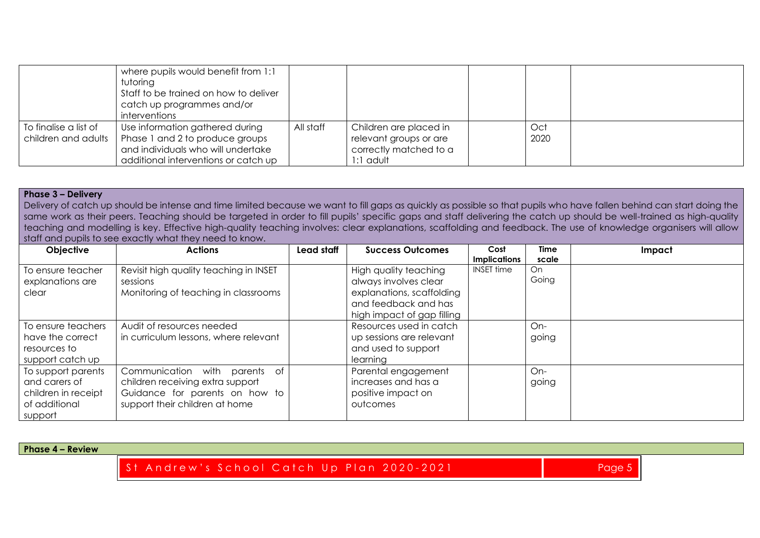|                                              | where pupils would benefit from 1:1<br>tutoring<br>Staff to be trained on how to deliver<br>catch up programmes and/or<br>interventions          |           |                                                                                         |             |  |
|----------------------------------------------|--------------------------------------------------------------------------------------------------------------------------------------------------|-----------|-----------------------------------------------------------------------------------------|-------------|--|
| To finalise a list of<br>children and adults | Use information gathered during<br>Phase 1 and 2 to produce groups<br>and individuals who will undertake<br>additional interventions or catch up | All staff | Children are placed in<br>relevant groups or are<br>correctly matched to a<br>I:1 adult | Oct<br>2020 |  |

#### **Phase 3 – Delivery**

Delivery of catch up should be intense and time limited because we want to fill gaps as quickly as possible so that pupils who have fallen behind can start doing the same work as their peers. Teaching should be targeted in order to fill pupils' specific gaps and staff delivering the catch up should be well-trained as high-quality teaching and modelling is key. Effective high-quality teaching involves: clear explanations, scaffolding and feedback. The use of knowledge organisers will allow staff and pupils to see exactly what they need to know.

| <b>Objective</b>                                                                       | <b>Actions</b>                                                                                                                           | Lead staff | <b>Success Outcomes</b>                                                                                                           | Cost<br><b>Implications</b> | <b>Time</b><br>scale | Impact |
|----------------------------------------------------------------------------------------|------------------------------------------------------------------------------------------------------------------------------------------|------------|-----------------------------------------------------------------------------------------------------------------------------------|-----------------------------|----------------------|--------|
| To ensure teacher<br>explanations are<br>clear                                         | Revisit high quality teaching in INSET<br>sessions<br>Monitoring of teaching in classrooms                                               |            | High quality teaching<br>always involves clear<br>explanations, scaffolding<br>and feedback and has<br>high impact of gap filling | <b>INSET time</b>           | On.<br>Going         |        |
| To ensure teachers<br>have the correct<br>resources to<br>support catch up             | Audit of resources needed<br>in curriculum lessons, where relevant                                                                       |            | Resources used in catch<br>up sessions are relevant<br>and used to support<br>learning                                            |                             | On-<br>going         |        |
| To support parents<br>and carers of<br>children in receipt<br>of additional<br>support | with parents of<br>Communication<br>children receiving extra support<br>Guidance for parents on how to<br>support their children at home |            | Parental engagement<br>increases and has a<br>positive impact on<br>outcomes                                                      |                             | On-<br>going         |        |

**Phase 4 – Review**

St Andrew's School Catch Up Plan 2020-2021 and the company of the Page 5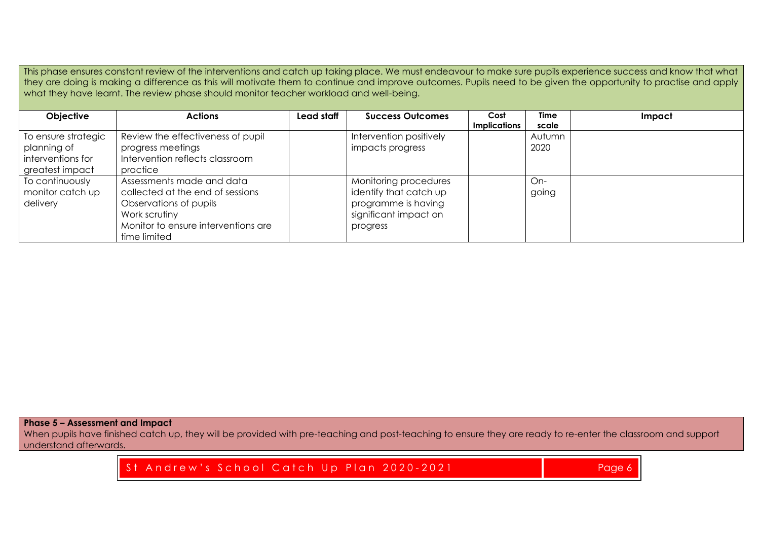This phase ensures constant review of the interventions and catch up taking place. We must endeavour to make sure pupils experience success and know that what they are doing is making a difference as this will motivate them to continue and improve outcomes. Pupils need to be given the opportunity to practise and apply what they have learnt. The review phase should monitor teacher workload and well-being.

| Objective                                                                  | <b>Actions</b>                                                                                                                                                  | Lead staff | <b>Success Outcomes</b>                                                                                     | Cost<br><b>Implications</b> | <b>Time</b><br>scale | Impact |
|----------------------------------------------------------------------------|-----------------------------------------------------------------------------------------------------------------------------------------------------------------|------------|-------------------------------------------------------------------------------------------------------------|-----------------------------|----------------------|--------|
| To ensure strategic<br>planning of<br>interventions for<br>greatest impact | Review the effectiveness of pupil<br>progress meetings<br>Intervention reflects classroom<br>practice                                                           |            | Intervention positively<br>impacts progress                                                                 |                             | Autumn<br>2020       |        |
| To continuously<br>monitor catch up<br>delivery                            | Assessments made and data<br>collected at the end of sessions<br>Observations of pupils<br>Work scrutiny<br>Monitor to ensure interventions are<br>time limited |            | Monitoring procedures<br>identify that catch up<br>programme is having<br>significant impact on<br>progress |                             | On-<br>going         |        |

**Phase 5 – Assessment and Impact**

When pupils have finished catch up, they will be provided with pre-teaching and post-teaching to ensure they are ready to re-enter the classroom and support understand afterwards.

St Andrew's School Catch Up Plan 2020-2021 and the company of the Page 6